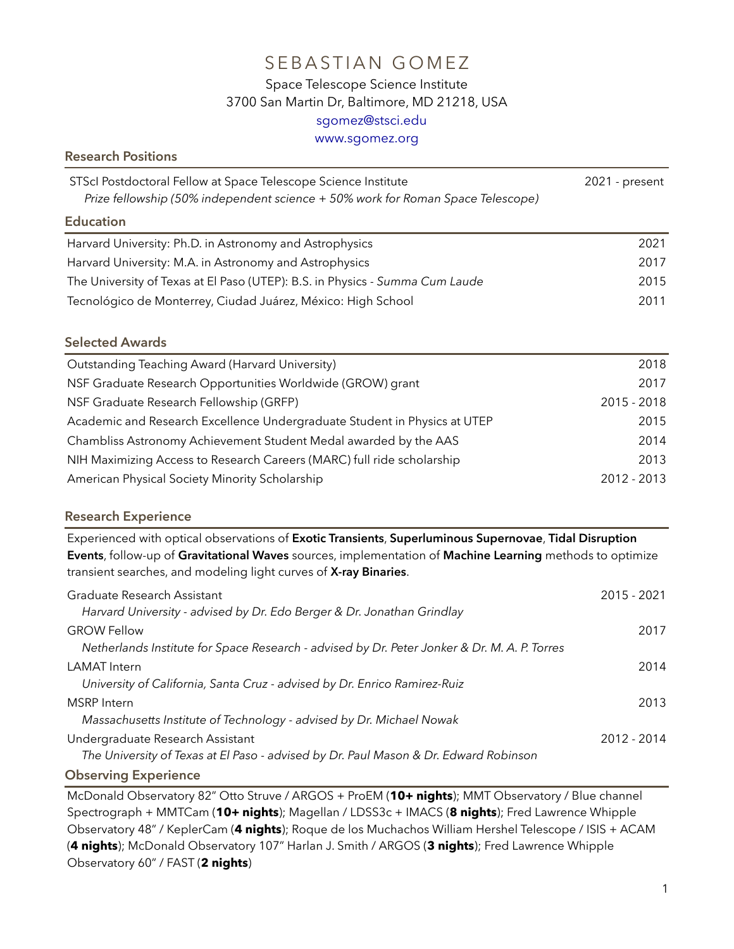# SEBASTIAN GOMEZ

## Space Telescope Science Institute 3700 San Martin Dr, Baltimore, MD 21218, USA [sgomez@stsci.edu](mailto:sgomez@stsci.edu)

[www.sgomez.org](http://sgomez.org/)

| <b>Research Positions</b>                                                                                                                                                                                                                                                              |                |  |
|----------------------------------------------------------------------------------------------------------------------------------------------------------------------------------------------------------------------------------------------------------------------------------------|----------------|--|
| STScI Postdoctoral Fellow at Space Telescope Science Institute<br>Prize fellowship (50% independent science + 50% work for Roman Space Telescope)                                                                                                                                      | 2021 - present |  |
| <b>Education</b>                                                                                                                                                                                                                                                                       |                |  |
| Harvard University: Ph.D. in Astronomy and Astrophysics                                                                                                                                                                                                                                | 2021           |  |
| Harvard University: M.A. in Astronomy and Astrophysics                                                                                                                                                                                                                                 | 2017           |  |
| The University of Texas at El Paso (UTEP): B.S. in Physics - Summa Cum Laude                                                                                                                                                                                                           | 2015           |  |
| Tecnológico de Monterrey, Ciudad Juárez, México: High School                                                                                                                                                                                                                           | 2011           |  |
| <b>Selected Awards</b>                                                                                                                                                                                                                                                                 |                |  |
| Outstanding Teaching Award (Harvard University)                                                                                                                                                                                                                                        | 2018           |  |
| NSF Graduate Research Opportunities Worldwide (GROW) grant                                                                                                                                                                                                                             | 2017           |  |
| NSF Graduate Research Fellowship (GRFP)                                                                                                                                                                                                                                                | 2015 - 2018    |  |
| Academic and Research Excellence Undergraduate Student in Physics at UTEP                                                                                                                                                                                                              | 2015           |  |
| Chambliss Astronomy Achievement Student Medal awarded by the AAS                                                                                                                                                                                                                       | 2014           |  |
| NIH Maximizing Access to Research Careers (MARC) full ride scholarship                                                                                                                                                                                                                 | 2013           |  |
| American Physical Society Minority Scholarship                                                                                                                                                                                                                                         | 2012 - 2013    |  |
| <b>Research Experience</b>                                                                                                                                                                                                                                                             |                |  |
| Experienced with optical observations of Exotic Transients, Superluminous Supernovae, Tidal Disruption<br>Events, follow-up of Gravitational Waves sources, implementation of Machine Learning methods to optimize<br>transient searches, and modeling light curves of X-ray Binaries. |                |  |
| Graduate Research Assistant<br>Harvard University - advised by Dr. Edo Berger & Dr. Jonathan Grindlay                                                                                                                                                                                  | 2015 - 2021    |  |
| <b>GROW Fellow</b><br>Netherlands Institute for Space Research - advised by Dr. Peter Jonker & Dr. M. A. P. Torres                                                                                                                                                                     | 2017           |  |
| <b>LAMAT</b> Intern<br>University of California, Santa Cruz - advised by Dr. Enrico Ramirez-Ruiz                                                                                                                                                                                       | 2014           |  |
| <b>MSRP</b> Intern<br>Massachusetts Institute of Technology - advised by Dr. Michael Nowak                                                                                                                                                                                             | 2013           |  |
| Undergraduate Research Assistant<br>The University of Texas at El Paso - advised by Dr. Paul Mason & Dr. Edward Robinson                                                                                                                                                               | 2012 - 2014    |  |

#### **Observing Experience**

McDonald Observatory 82" Otto Struve / ARGOS + ProEM (**10+ nights**); MMT Observatory / Blue channel Spectrograph + MMTCam (**10+ nights**); Magellan / LDSS3c + IMACS (**8 nights**); Fred Lawrence Whipple Observatory 48" / KeplerCam (**4 nights**); Roque de los Muchachos William Hershel Telescope / ISIS + ACAM (**4 nights**); McDonald Observatory 107" Harlan J. Smith / ARGOS (**3 nights**); Fred Lawrence Whipple Observatory 60" / FAST (**2 nights**)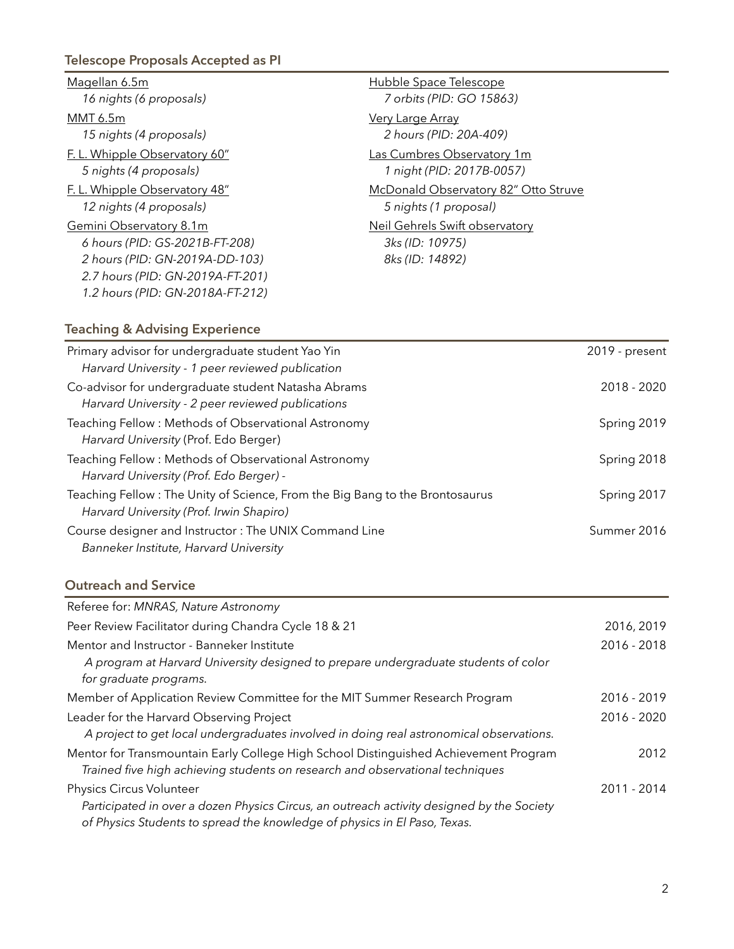## **Telescope Proposals Accepted as PI**

| Magellan 6.5m                    | Hubble Space Telescope               |
|----------------------------------|--------------------------------------|
| 16 nights (6 proposals)          | 7 orbits (PID: GO 15863)             |
| MMT 6.5m                         | <b>Very Large Array</b>              |
| 15 nights (4 proposals)          | 2 hours (PID: 20A-409)               |
| F.L. Whipple Observatory 60"     | Las Cumbres Observatory 1m           |
| 5 nights (4 proposals)           | 1 night (PID: 2017B-0057)            |
| F. L. Whipple Observatory 48"    | McDonald Observatory 82" Otto Struve |
| 12 nights (4 proposals)          | 5 nights (1 proposal)                |
| Gemini Observatory 8.1m          | Neil Gehrels Swift observatory       |
| 6 hours (PID: GS-2021B-FT-208)   | 3ks (ID: 10975)                      |
| 2 hours (PID: GN-2019A-DD-103)   | 8ks (ID: 14892)                      |
| 2.7 hours (PID: GN-2019A-FT-201) |                                      |
| 1.2 hours (PID: GN-2018A-FT-212) |                                      |

### **Teaching & Advising Experience**

| Primary advisor for undergraduate student Yao Yin                                                                        | 2019 - present |
|--------------------------------------------------------------------------------------------------------------------------|----------------|
| Harvard University - 1 peer reviewed publication                                                                         |                |
| Co-advisor for undergraduate student Natasha Abrams<br>Harvard University - 2 peer reviewed publications                 | 2018 - 2020    |
| Teaching Fellow: Methods of Observational Astronomy<br>Harvard University (Prof. Edo Berger)                             | Spring 2019    |
| Teaching Fellow: Methods of Observational Astronomy<br>Harvard University (Prof. Edo Berger) -                           | Spring 2018    |
| Teaching Fellow: The Unity of Science, From the Big Bang to the Brontosaurus<br>Harvard University (Prof. Irwin Shapiro) | Spring 2017    |
| Course designer and Instructor: The UNIX Command Line<br>Banneker Institute, Harvard University                          | Summer 2016    |

### **Outreach and Service**

| Referee for: MNRAS, Nature Astronomy                                                      |             |
|-------------------------------------------------------------------------------------------|-------------|
| Peer Review Facilitator during Chandra Cycle 18 & 21                                      | 2016, 2019  |
| Mentor and Instructor - Banneker Institute                                                | 2016 - 2018 |
| A program at Harvard University designed to prepare undergraduate students of color       |             |
| for graduate programs.                                                                    |             |
| Member of Application Review Committee for the MIT Summer Research Program                | 2016 - 2019 |
| Leader for the Harvard Observing Project                                                  | 2016 - 2020 |
| A project to get local undergraduates involved in doing real astronomical observations.   |             |
| Mentor for Transmountain Early College High School Distinguished Achievement Program      | 2012        |
| Trained five high achieving students on research and observational techniques             |             |
| Physics Circus Volunteer                                                                  | 2011 - 2014 |
| Participated in over a dozen Physics Circus, an outreach activity designed by the Society |             |
| of Physics Students to spread the knowledge of physics in El Paso, Texas.                 |             |
|                                                                                           |             |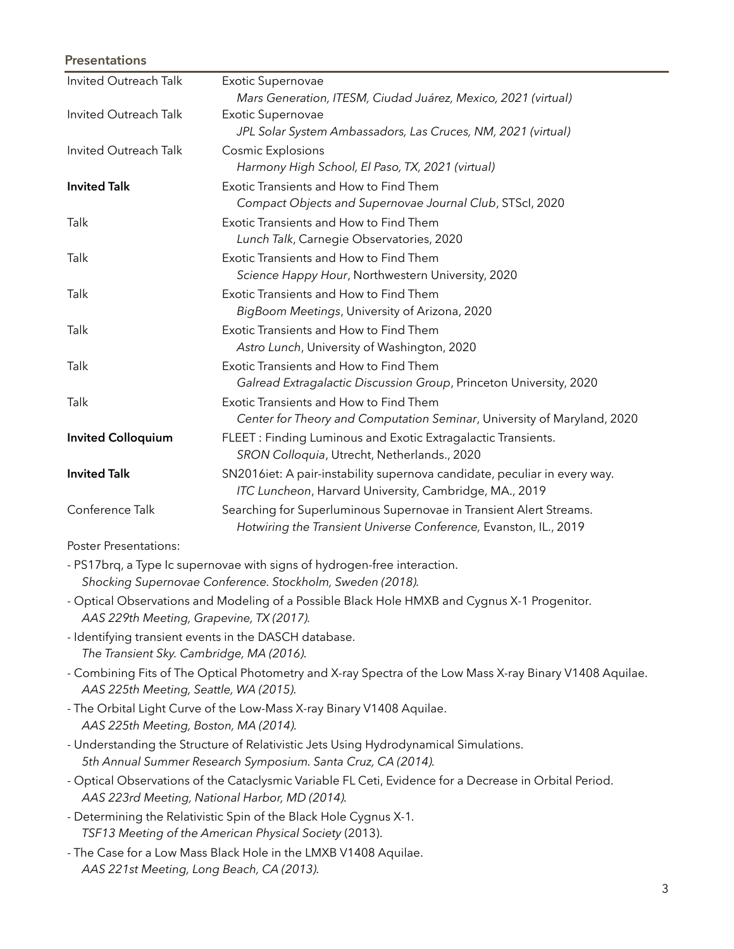#### **Presentations**

| Invited Outreach Talk     | Exotic Supernovae                                                          |
|---------------------------|----------------------------------------------------------------------------|
|                           | Mars Generation, ITESM, Ciudad Juárez, Mexico, 2021 (virtual)              |
| Invited Outreach Talk     | <b>Exotic Supernovae</b>                                                   |
|                           | JPL Solar System Ambassadors, Las Cruces, NM, 2021 (virtual)               |
| Invited Outreach Talk     | <b>Cosmic Explosions</b>                                                   |
|                           | Harmony High School, El Paso, TX, 2021 (virtual)                           |
| <b>Invited Talk</b>       | Exotic Transients and How to Find Them                                     |
|                           | Compact Objects and Supernovae Journal Club, STScl, 2020                   |
| Talk                      | Exotic Transients and How to Find Them                                     |
|                           | Lunch Talk, Carnegie Observatories, 2020                                   |
| Talk                      | Exotic Transients and How to Find Them                                     |
|                           | Science Happy Hour, Northwestern University, 2020                          |
| Talk                      | Exotic Transients and How to Find Them                                     |
|                           | BigBoom Meetings, University of Arizona, 2020                              |
| Talk                      | Exotic Transients and How to Find Them                                     |
|                           | Astro Lunch, University of Washington, 2020                                |
| Talk                      | Exotic Transients and How to Find Them                                     |
|                           | Galread Extragalactic Discussion Group, Princeton University, 2020         |
| Talk                      | Exotic Transients and How to Find Them                                     |
|                           | Center for Theory and Computation Seminar, University of Maryland, 2020    |
| <b>Invited Colloquium</b> | FLEET: Finding Luminous and Exotic Extragalactic Transients.               |
|                           | SRON Colloquia, Utrecht, Netherlands., 2020                                |
| <b>Invited Talk</b>       | SN2016 iet: A pair-instability supernova candidate, peculiar in every way. |
|                           | ITC Luncheon, Harvard University, Cambridge, MA., 2019                     |
| Conference Talk           | Searching for Superluminous Supernovae in Transient Alert Streams.         |
|                           | Hotwiring the Transient Universe Conference, Evanston, IL., 2019           |

Poster Presentations:

- PS17brq, a Type Ic supernovae with signs of hydrogen-free interaction.  *Shocking Supernovae Conference. Stockholm, Sweden (2018).*

- Optical Observations and Modeling of a Possible Black Hole HMXB and Cygnus X-1 Progenitor. *AAS 229th Meeting, Grapevine, TX (2017).*
- Identifying transient events in the DASCH database. *The Transient Sky. Cambridge, MA (2016).*
- Combining Fits of The Optical Photometry and X-ray Spectra of the Low Mass X-ray Binary V1408 Aquilae. *AAS 225th Meeting, Seattle, WA (2015).*
- The Orbital Light Curve of the Low-Mass X-ray Binary V1408 Aquilae. *AAS 225th Meeting, Boston, MA (2014).*
- Understanding the Structure of Relativistic Jets Using Hydrodynamical Simulations. *5th Annual Summer Research Symposium. Santa Cruz, CA (2014).*
- Optical Observations of the Cataclysmic Variable FL Ceti, Evidence for a Decrease in Orbital Period. *AAS 223rd Meeting, National Harbor, MD (2014).*
- Determining the Relativistic Spin of the Black Hole Cygnus X-1*. TSF13 Meeting of the American Physical Society* (2013).
- The Case for a Low Mass Black Hole in the LMXB V1408 Aquilae. *AAS 221st Meeting, Long Beach, CA (2013).*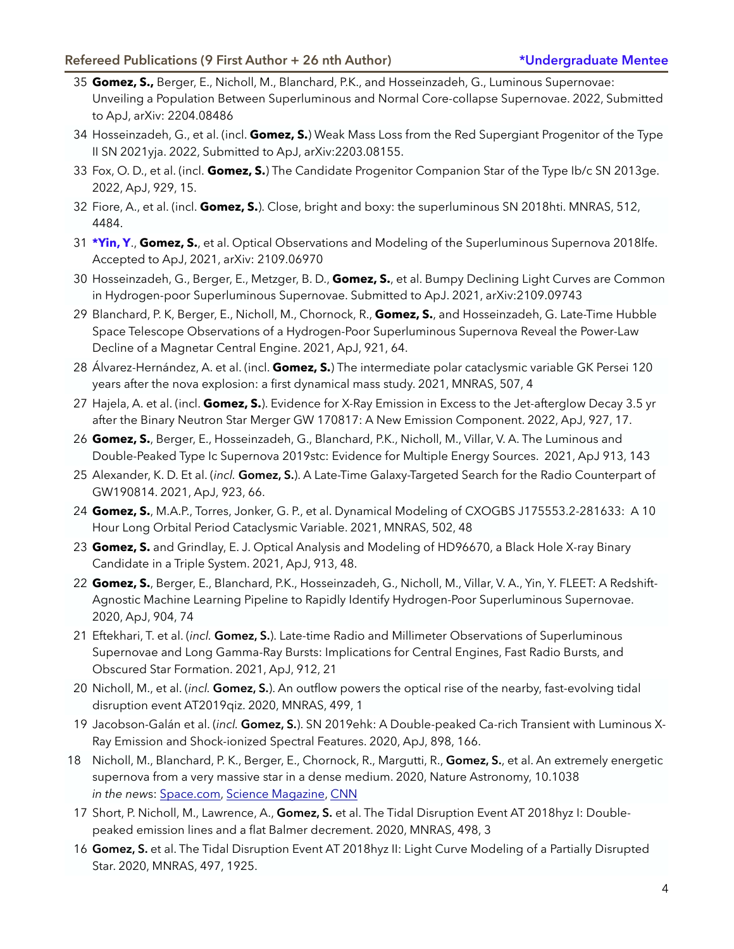- 35 **Gomez, S.,** Berger, E., Nicholl, M., Blanchard, P.K., and Hosseinzadeh, G., Luminous Supernovae: Unveiling a Population Between Superluminous and Normal Core-collapse Supernovae. 2022, Submitted to ApJ, arXiv: 2204.08486
- 34 Hosseinzadeh, G., et al. (incl. **Gomez, S.**) Weak Mass Loss from the Red Supergiant Progenitor of the Type II SN 2021yja. 2022, Submitted to ApJ, arXiv:2203.08155.
- 33 Fox, O. D., et al. (incl. **Gomez, S.**) The Candidate Progenitor Companion Star of the Type Ib/c SN 2013ge. 2022, ApJ, 929, 15.
- 32 Fiore, A., et al. (incl. **Gomez, S.**). Close, bright and boxy: the superluminous SN 2018hti. MNRAS, 512, 4484.
- 31 **\*Yin, Y**., **Gomez, S.**, et al. Optical Observations and Modeling of the Superluminous Supernova 2018lfe. Accepted to ApJ, 2021, arXiv: 2109.06970
- 30 Hosseinzadeh, G., Berger, E., Metzger, B. D., **Gomez, S.**, et al. Bumpy Declining Light Curves are Common in Hydrogen-poor Superluminous Supernovae. Submitted to ApJ. 2021, arXiv:2109.09743
- 29 Blanchard, P. K, Berger, E., Nicholl, M., Chornock, R., **Gomez, S.**, and Hosseinzadeh, G. Late-Time Hubble Space Telescope Observations of a Hydrogen-Poor Superluminous Supernova Reveal the Power-Law Decline of a Magnetar Central Engine. 2021, ApJ, 921, 64.
- 28 Álvarez-Hernández, A. et al. (incl. **Gomez, S.**) The intermediate polar cataclysmic variable GK Persei 120 years after the nova explosion: a first dynamical mass study. 2021, MNRAS, 507, 4
- 27 Hajela, A. et al. (incl. **Gomez, S.**). Evidence for X-Ray Emission in Excess to the Jet-afterglow Decay 3.5 yr after the Binary Neutron Star Merger GW 170817: A New Emission Component. 2022, ApJ, 927, 17.
- 26 **Gomez, S.**, Berger, E., Hosseinzadeh, G., Blanchard, P.K., Nicholl, M., Villar, V. A. The Luminous and Double-Peaked Type Ic Supernova 2019stc: Evidence for Multiple Energy Sources. 2021, ApJ 913, 143
- 25 Alexander, K. D. Et al. (*incl.* **Gomez, S.**). A Late-Time Galaxy-Targeted Search for the Radio Counterpart of GW190814. 2021, ApJ, 923, 66.
- 24 **Gomez, S.**, M.A.P., Torres, Jonker, G. P., et al. Dynamical Modeling of CXOGBS J175553.2-281633: A 10 Hour Long Orbital Period Cataclysmic Variable. 2021, MNRAS, 502, 48
- 23 **Gomez, S.** and Grindlay, E. J. Optical Analysis and Modeling of HD96670, a Black Hole X-ray Binary Candidate in a Triple System. 2021, ApJ, 913, 48.
- 22 **Gomez, S.**, Berger, E., Blanchard, P.K., Hosseinzadeh, G., Nicholl, M., Villar, V. A., Yin, Y. FLEET: A Redshift-Agnostic Machine Learning Pipeline to Rapidly Identify Hydrogen-Poor Superluminous Supernovae. 2020, ApJ, 904, 74
- 21 Eftekhari, T. et al. (*incl.* **Gomez, S.**). Late-time Radio and Millimeter Observations of Superluminous Supernovae and Long Gamma-Ray Bursts: Implications for Central Engines, Fast Radio Bursts, and Obscured Star Formation. 2021, ApJ, 912, 21
- 20 Nicholl, M., et al. (*incl.* **Gomez, S.**). An outflow powers the optical rise of the nearby, fast-evolving tidal disruption event AT2019qiz. 2020, MNRAS, 499, 1
- 19 Jacobson-Galán et al. (*incl.* **Gomez, S.**). SN 2019ehk: A Double-peaked Ca-rich Transient with Luminous X-Ray Emission and Shock-ionized Spectral Features. 2020, ApJ, 898, 166.
- 18 Nicholl, M., Blanchard, P. K., Berger, E., Chornock, R., Margutti, R., **Gomez, S.**, et al. An extremely energetic supernova from a very massive star in a dense medium. 2020, Nature Astronomy, 10.1038 *in the new*s: [Space.com](https://www.space.com/brightest-supernova-ever-discovered-sn2016aps.html), [Science Magazine](https://www.sciencemag.org/news/2020/04/brightest-supernova-ever-seen), [CNN](https://www.cnn.com/2020/04/13/world/brightest-supernova-sn2016aps-scn/index.html)
- 17 Short, P. Nicholl, M., Lawrence, A., **Gomez, S.** et al. The Tidal Disruption Event AT 2018hyz I: Doublepeaked emission lines and a flat Balmer decrement. 2020, MNRAS, 498, 3
- 16 **Gomez, S.** et al. The Tidal Disruption Event AT 2018hyz II: Light Curve Modeling of a Partially Disrupted Star. 2020, MNRAS, 497, 1925.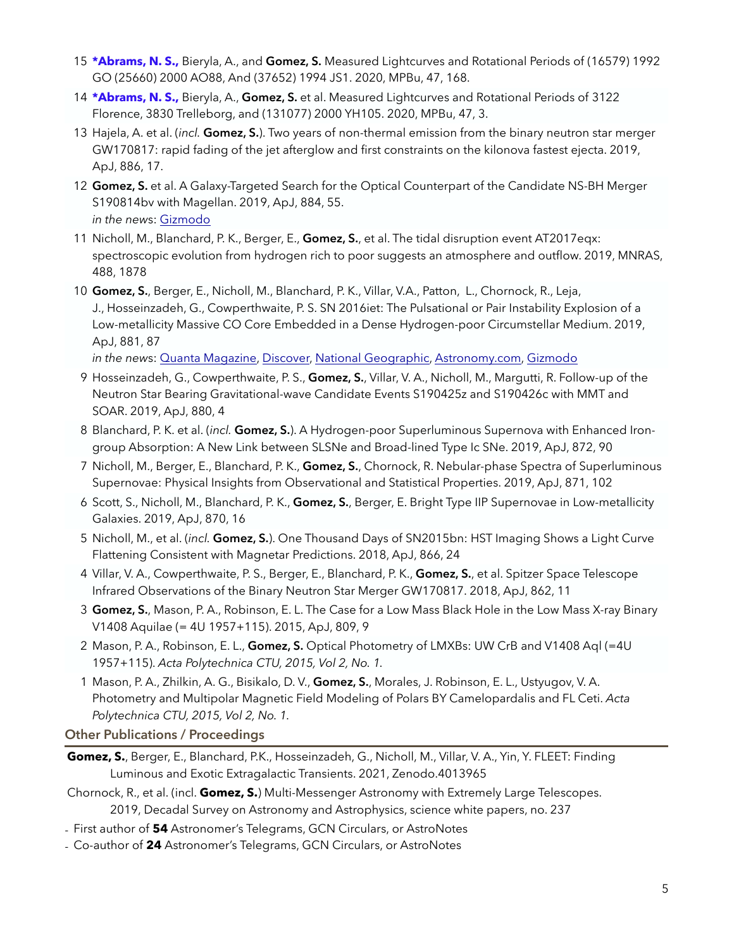- 15 **\*Abrams, N. S.,** Bieryla, A., and **Gomez, S.** Measured Lightcurves and Rotational Periods of (16579) 1992 GO (25660) 2000 AO88, And (37652) 1994 JS1. 2020, MPBu, 47, 168.
- 14 **\*Abrams, N. S.,** Bieryla, A., **Gomez, S.** et al. Measured Lightcurves and Rotational Periods of 3122 Florence, 3830 Trelleborg, and (131077) 2000 YH105. 2020, MPBu, 47, 3.
- 13 Hajela, A. et al. (*incl.* **Gomez, S.**). Two years of non-thermal emission from the binary neutron star merger GW170817: rapid fading of the jet afterglow and first constraints on the kilonova fastest ejecta. 2019, ApJ, 886, 17.
- 12 **Gomez, S.** et al. A Galaxy-Targeted Search for the Optical Counterpart of the Candidate NS-BH Merger S190814bv with Magellan. 2019, ApJ, 884, 55. *in the new*s: [Gizmodo](https://gizmodo.com/mystery-deepens-around-newly-detected-ripples-in-space-1837581646)
- 11 Nicholl, M., Blanchard, P. K., Berger, E., **Gomez, S.**, et al. The tidal disruption event AT2017eqx: spectroscopic evolution from hydrogen rich to poor suggests an atmosphere and outflow. 2019, MNRAS, 488, 1878
- 10 **Gomez, S.**, Berger, E., Nicholl, M., Blanchard, P. K., Villar, V.A., Patton, L., Chornock, R., Leja, J., Hosseinzadeh, G., Cowperthwaite, P. S. SN 2016iet: The Pulsational or Pair Instability Explosion of a Low-metallicity Massive CO Core Embedded in a Dense Hydrogen-poor Circumstellar Medium. 2019, ApJ, 881, 87

*in the new*s: [Quanta Magazine](https://www.quantamagazine.org/long-lived-stellar-blast-kindles-hope-of-a-pair-instability-supernova-20190912/), [Discover,](https://www.discovermagazine.com/the-sciences/a-massive-star-completely-destroyed-by-a-supernova-is-puzzling-scientists) [National Geographic](https://www.nationalgeographic.com.es/ciencia/aniquilacion-total-estrella-supermasiva-nuevo-tipo-supernova_14626), [Astronomy.com,](https://astronomy.com/news/2019/08/a-massive-star-completely-destroyed-by-a-supernova-is-puzzling-scientists) [Gizmodo](https://gizmodo.com/this-enormous-supernova-was-unlike-anything-seen-before-1837305906)

- 9 Hosseinzadeh, G., Cowperthwaite, P. S., **Gomez, S.**, Villar, V. A., Nicholl, M., Margutti, R. Follow-up of the Neutron Star Bearing Gravitational-wave Candidate Events S190425z and S190426c with MMT and SOAR. 2019, ApJ, 880, 4
- 8 Blanchard, P. K. et al. (*incl.* **Gomez, S.**). A Hydrogen-poor Superluminous Supernova with Enhanced Irongroup Absorption: A New Link between SLSNe and Broad-lined Type Ic SNe. 2019, ApJ, 872, 90
- 7 Nicholl, M., Berger, E., Blanchard, P. K., **Gomez, S.**, Chornock, R. Nebular-phase Spectra of Superluminous Supernovae: Physical Insights from Observational and Statistical Properties. 2019, ApJ, 871, 102
- 6 Scott, S., Nicholl, M., Blanchard, P. K., **Gomez, S.**, Berger, E. Bright Type IIP Supernovae in Low-metallicity Galaxies. 2019, ApJ, 870, 16
- 5 Nicholl, M., et al. (*incl.* **Gomez, S.**). One Thousand Days of SN2015bn: HST Imaging Shows a Light Curve Flattening Consistent with Magnetar Predictions. 2018, ApJ, 866, 24
- 4 Villar, V. A., Cowperthwaite, P. S., Berger, E., Blanchard, P. K., **Gomez, S.**, et al. Spitzer Space Telescope Infrared Observations of the Binary Neutron Star Merger GW170817. 2018, ApJ, 862, 11
- 3 **Gomez, S.**, Mason, P. A., Robinson, E. L. The Case for a Low Mass Black Hole in the Low Mass X-ray Binary V1408 Aquilae (= 4U 1957+115). 2015, ApJ, 809, 9
- 2 Mason, P. A., Robinson, E. L., **Gomez, S.** Optical Photometry of LMXBs: UW CrB and V1408 Aql (=4U 1957+115). *Acta Polytechnica CTU, 2015, Vol 2, No. 1.*
- 1 Mason, P. A., Zhilkin, A. G., Bisikalo, D. V., **Gomez, S.**, Morales, J. Robinson, E. L., Ustyugov, V. A. Photometry and Multipolar Magnetic Field Modeling of Polars BY Camelopardalis and FL Ceti. *Acta Polytechnica CTU, 2015, Vol 2, No. 1.*

**Other Publications / Proceedings** 

- **Gomez, S.**, Berger, E., Blanchard, P.K., Hosseinzadeh, G., Nicholl, M., Villar, V. A., Yin, Y. FLEET: Finding Luminous and Exotic Extragalactic Transients. 2021, Zenodo.4013965
- Chornock, R., et al. (incl. **Gomez, S.**) Multi-Messenger Astronomy with Extremely Large Telescopes. 2019, Decadal Survey on Astronomy and Astrophysics, science white papers, no. 237
- First author of **54** Astronomer's Telegrams, GCN Circulars, or AstroNotes
- Co-author of **24** Astronomer's Telegrams, GCN Circulars, or AstroNotes